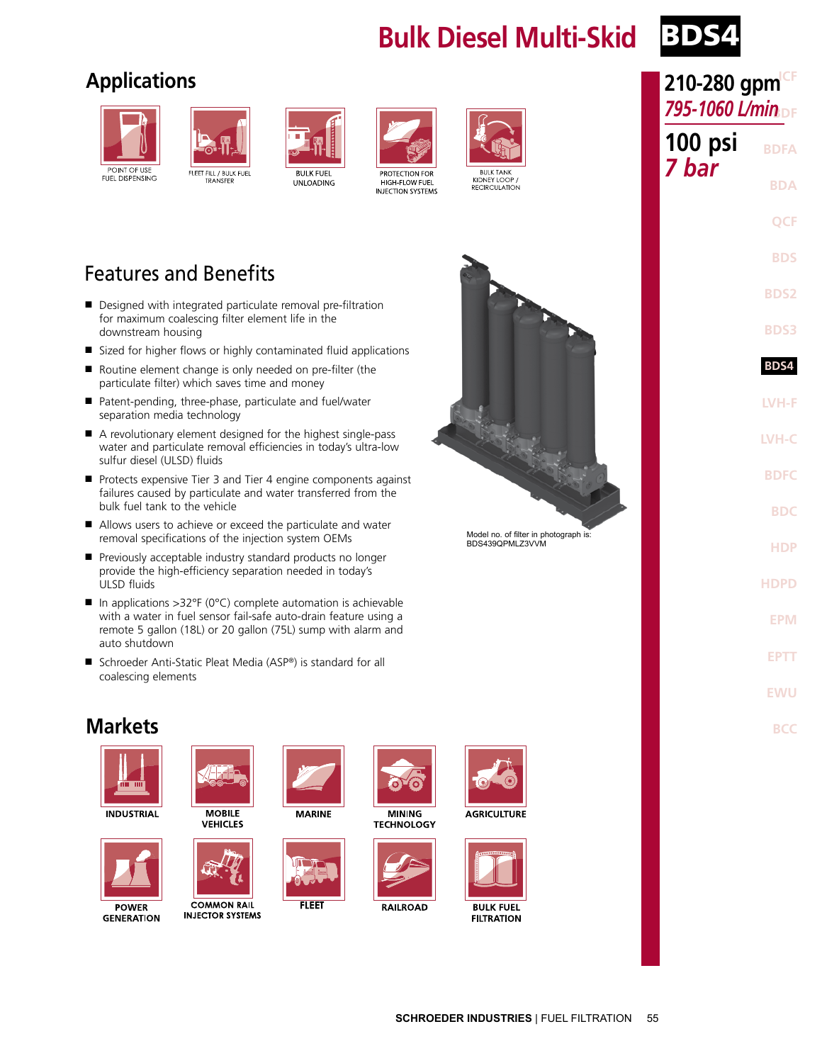### **Bulk Diesel Multi-Skid**



### **Applications**







**BULK FUEL UNLOADING** 



HIGH-FLOW FUEL

INJECTION SYSTEMS



KIDNEY LOOP RECIRCULATION

# **BULK TANK**

Model no. of filter in photograph is: BDS439QPMLZ3VVM



- Designed with integrated particulate removal pre-filtration for maximum coalescing filter element life in the downstream housing
- Sized for higher flows or highly contaminated fluid applications
- Routine element change is only needed on pre-filter (the particulate filter) which saves time and money
- Patent-pending, three-phase, particulate and fuel/water separation media technology
- A revolutionary element designed for the highest single-pass water and particulate removal efficiencies in today's ultra-low sulfur diesel (ULSD) fluids
- Protects expensive Tier 3 and Tier 4 engine components against failures caused by particulate and water transferred from the bulk fuel tank to the vehicle
- Allows users to achieve or exceed the particulate and water removal specifications of the injection system OEMs
- Previously acceptable industry standard products no longer provide the high-efficiency separation needed in today's ULSD fluids
- In applications >32°F (0°C) complete automation is achievable with a water in fuel sensor fail-safe auto-drain feature using a remote 5 gallon (18L) or 20 gallon (75L) sump with alarm and auto shutdown
- Schroeder Anti-Static Pleat Media (ASP®) is standard for all coalescing elements



**INDUSTRIAL** 





**GENERATION** 



**MOBILE VEHICLES** 



**COMMON RAIL INJECTOR SYSTEMS** 



**FLEET** 

**MINING TECHNOLOGY** 

ö



**RAILROAD** 



**AGRICULTURE** 



| ICF<br>210-280 gpm<br>795-1060 L/min <sub>DF</sub> |  |  |  |  |
|----------------------------------------------------|--|--|--|--|
| <b>BDFA</b>                                        |  |  |  |  |
| <b>BDA</b>                                         |  |  |  |  |
| <b>OCF</b>                                         |  |  |  |  |
| <b>BDS</b>                                         |  |  |  |  |
| BDS2                                               |  |  |  |  |
| <b>BDS3</b>                                        |  |  |  |  |
| BDS4                                               |  |  |  |  |
| LVH-F                                              |  |  |  |  |
| LVH-C                                              |  |  |  |  |
| <b>BDFC</b>                                        |  |  |  |  |
| <b>BDC</b>                                         |  |  |  |  |
| <b>HDP</b>                                         |  |  |  |  |
| HDPD                                               |  |  |  |  |
| EPM                                                |  |  |  |  |
| <b>EPTT</b>                                        |  |  |  |  |
| EWU                                                |  |  |  |  |
| BCC                                                |  |  |  |  |
|                                                    |  |  |  |  |
|                                                    |  |  |  |  |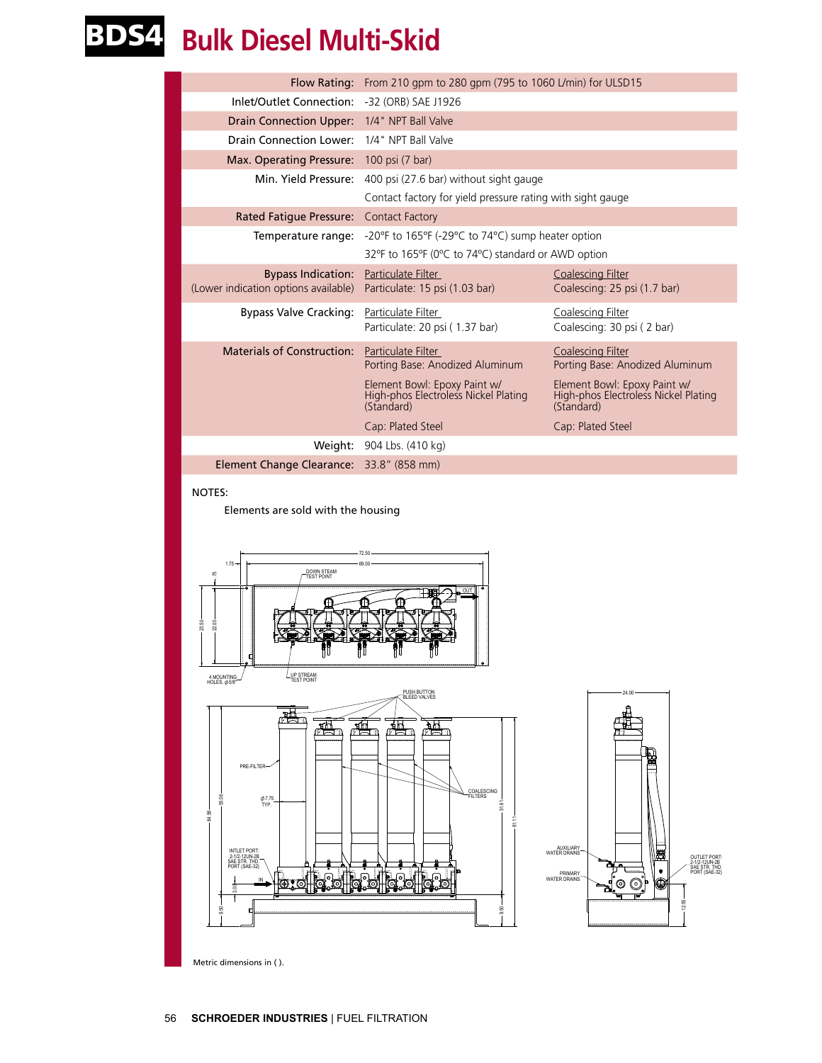## BDS4 **Bulk Diesel Multi-Skid**

|                                               | Flow Rating: From 210 gpm to 280 gpm (795 to 1060 L/min) for ULSD15                       |                                                                                    |  |  |
|-----------------------------------------------|-------------------------------------------------------------------------------------------|------------------------------------------------------------------------------------|--|--|
| Inlet/Outlet Connection: -32 (ORB) SAE J1926  |                                                                                           |                                                                                    |  |  |
| <b>Drain Connection Upper:</b>                | 1/4" NPT Ball Valve                                                                       |                                                                                    |  |  |
| Drain Connection Lower:                       | 1/4" NPT Ball Valve                                                                       |                                                                                    |  |  |
| Max. Operating Pressure: 100 psi (7 bar)      |                                                                                           |                                                                                    |  |  |
| Min. Yield Pressure:                          | 400 psi (27.6 bar) without sight gauge                                                    |                                                                                    |  |  |
|                                               | Contact factory for yield pressure rating with sight gauge                                |                                                                                    |  |  |
| Rated Fatigue Pressure:                       | <b>Contact Factory</b>                                                                    |                                                                                    |  |  |
| Temperature range:                            | -20 $\degree$ F to 165 $\degree$ F (-29 $\degree$ C to 74 $\degree$ C) sump heater option |                                                                                    |  |  |
|                                               | 32°F to 165°F (0°C to 74°C) standard or AWD option                                        |                                                                                    |  |  |
| <b>Bypass Indication:</b>                     | Particulate Filter                                                                        | <b>Coalescing Filter</b>                                                           |  |  |
| (Lower indication options available)          | Particulate: 15 psi (1.03 bar)                                                            | Coalescing: 25 psi (1.7 bar)                                                       |  |  |
| Bypass Valve Cracking: Particulate Filter     |                                                                                           | Coalescing Filter                                                                  |  |  |
|                                               | Particulate: 20 psi (1.37 bar)                                                            | Coalescing: 30 psi (2 bar)                                                         |  |  |
| Materials of Construction: Particulate Filter |                                                                                           | <b>Coalescing Filter</b>                                                           |  |  |
|                                               | Porting Base: Anodized Aluminum                                                           | Porting Base: Anodized Aluminum                                                    |  |  |
|                                               | Element Bowl: Epoxy Paint w/<br>High-phos Electroless Nickel Plating<br>(Standard)        | Element Bowl: Epoxy Paint w/<br>High-phos Electroless Nickel Plating<br>(Standard) |  |  |
|                                               | Cap: Plated Steel                                                                         | Cap: Plated Steel                                                                  |  |  |
|                                               | Weight: 904 Lbs. (410 kg)                                                                 |                                                                                    |  |  |
| Element Change Clearance:                     | 33.8" (858 mm)                                                                            |                                                                                    |  |  |

FILTERS COALESCING

61.11

51.61

9.50

### NOTES:

Elements are sold with the housing





Metric dimensions in ( ).

PRE-FILTER

TYP. 7.75

INTLET PORT: 2-1/2-12UN-2B

55.06

64.56

SAE STR. THD. PORT (SAE-32)

3.00

9.50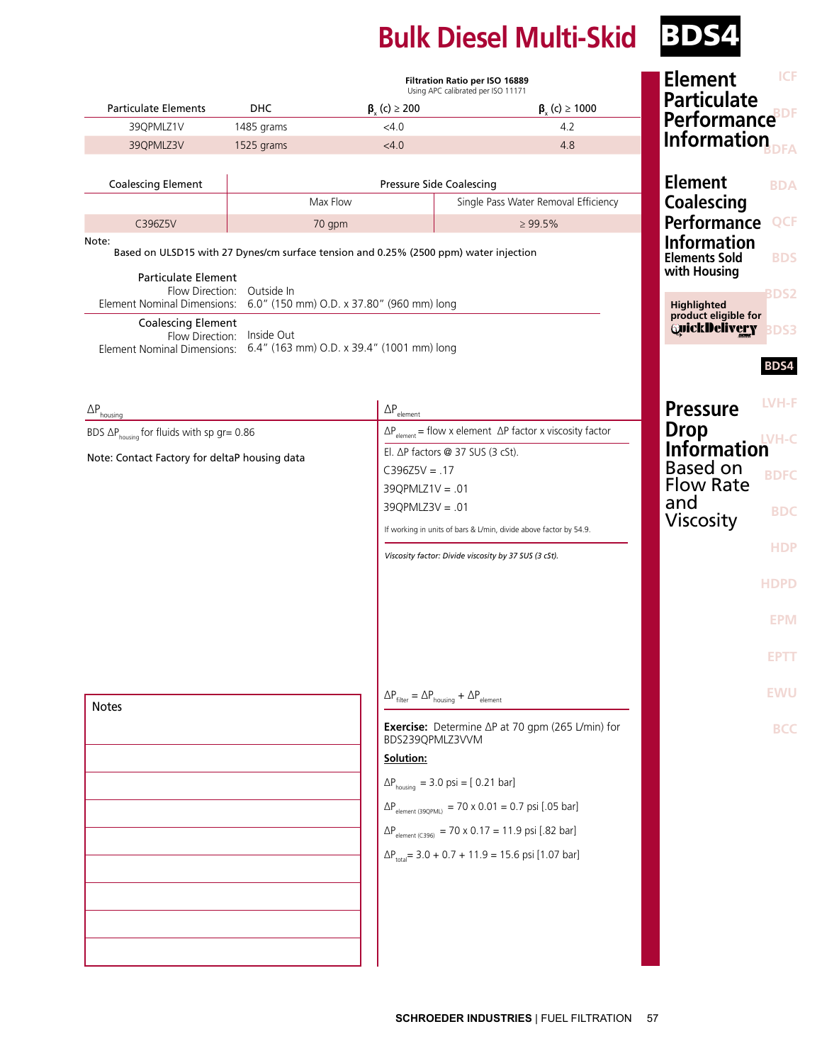# **Bulk Diesel Multi-Skid** BDS4

|                                                             |                            |                                                                                       | Filtration Ratio per ISO 16889<br>Using APC calibrated per ISO 11171              | <b>ICF</b><br><b>Element</b>                             |
|-------------------------------------------------------------|----------------------------|---------------------------------------------------------------------------------------|-----------------------------------------------------------------------------------|----------------------------------------------------------|
| <b>Particulate Elements</b>                                 | <b>DHC</b>                 | $\beta$ <sub>v</sub> (c) $\geq$ 200                                                   | $\beta_{y}$ (c) $\geq 1000$                                                       | <b>Particulate</b>                                       |
| 39QPMLZ1V                                                   | 1485 grams                 | < 4.0                                                                                 | 4.2                                                                               | <b>Performance</b> <sup>BDF</sup>                        |
| 39QPMLZ3V                                                   | 1525 grams                 | <4.0                                                                                  | 4.8                                                                               | Information                                              |
| <b>Coalescing Element</b>                                   | Pressure Side Coalescing   |                                                                                       |                                                                                   | <b>Element</b><br><b>BDA</b>                             |
|                                                             |                            | Max Flow                                                                              | Single Pass Water Removal Efficiency                                              | <b>Coalescing</b>                                        |
| C396Z5V                                                     |                            | 70 gpm                                                                                | $\geq 99.5\%$                                                                     | <b>Performance</b><br><b>QCF</b>                         |
| Note:                                                       |                            | Based on ULSD15 with 27 Dynes/cm surface tension and 0.25% (2500 ppm) water injection |                                                                                   | <b>Information</b><br><b>Elements Sold</b><br><b>BDS</b> |
| <b>Particulate Element</b>                                  | Flow Direction: Outside In | Element Nominal Dimensions: 6.0" (150 mm) O.D. x 37.80" (960 mm) long                 |                                                                                   | with Housing<br>BDS2<br><b>Highlighted</b>               |
| <b>Coalescing Element</b>                                   | Flow Direction: Inside Out | Element Nominal Dimensions: 6.4" (163 mm) O.D. x 39.4" (1001 mm) long                 |                                                                                   | product eligible for<br>QuickDelivery<br>BDS3            |
|                                                             |                            |                                                                                       |                                                                                   | BDS4                                                     |
| $\Delta P_{\text{housing}}$                                 |                            | $\Delta P_{\text{element}}$                                                           |                                                                                   | LVH-F<br><b>Pressure</b>                                 |
| BDS $\Delta P_{\text{housina}}$ for fluids with sp gr= 0.86 |                            |                                                                                       | $\Delta P_{\text{element}}$ = flow x element $\Delta P$ factor x viscosity factor | <b>Drop</b><br><b>IVH-C</b>                              |
| Note: Contact Factory for deltaP housing data               |                            | El. ΔP factors @ 37 SUS (3 cSt).                                                      |                                                                                   | <b>Information</b>                                       |
|                                                             |                            | $C396Z5V = .17$                                                                       |                                                                                   | <b>Based on</b><br><b>BDFC</b><br><b>Flow Rate</b>       |
|                                                             |                            | $39Q$ PMLZ1V = .01<br>$39Q$ PMLZ $3V = .01$                                           |                                                                                   | and                                                      |
|                                                             |                            |                                                                                       | If working in units of bars & L/min, divide above factor by 54.9.                 | <b>BDC</b><br><b>Viscosity</b>                           |
|                                                             |                            |                                                                                       | Viscosity factor: Divide viscosity by 37 SUS (3 cSt).                             | <b>HDP</b>                                               |
|                                                             |                            |                                                                                       |                                                                                   |                                                          |
|                                                             |                            |                                                                                       |                                                                                   | <b>HDPD</b>                                              |
|                                                             |                            |                                                                                       |                                                                                   | <b>EPM</b>                                               |
|                                                             |                            |                                                                                       |                                                                                   | <b>EPTT</b>                                              |
| <b>Notes</b>                                                |                            | $\Delta P_{\text{filter}} = \Delta P_{\text{housing}} + \Delta P_{\text{element}}$    |                                                                                   | <b>EWU</b>                                               |
|                                                             |                            | BDS239QPMLZ3VVM                                                                       | Exercise: Determine ∆P at 70 gpm (265 L/min) for                                  | <b>BCC</b>                                               |
|                                                             |                            | Solution:                                                                             |                                                                                   |                                                          |
|                                                             |                            | $\Delta P_{\text{housing}} = 3.0 \text{ psi} = [0.21 \text{ bar}]$                    |                                                                                   |                                                          |
|                                                             |                            |                                                                                       | $\Delta P_{\text{element (39QPML)}} = 70 \times 0.01 = 0.7 \text{ psi}$ [.05 bar] |                                                          |
|                                                             |                            |                                                                                       | $\Delta P_{\text{element (C396)}} = 70 \times 0.17 = 11.9 \text{ psi}$ [.82 bar]  |                                                          |
|                                                             |                            |                                                                                       | $\Delta P_{total}$ = 3.0 + 0.7 + 11.9 = 15.6 psi [1.07 bar]                       |                                                          |
|                                                             |                            |                                                                                       |                                                                                   |                                                          |
|                                                             |                            |                                                                                       |                                                                                   |                                                          |
|                                                             |                            |                                                                                       |                                                                                   |                                                          |
|                                                             |                            |                                                                                       |                                                                                   |                                                          |